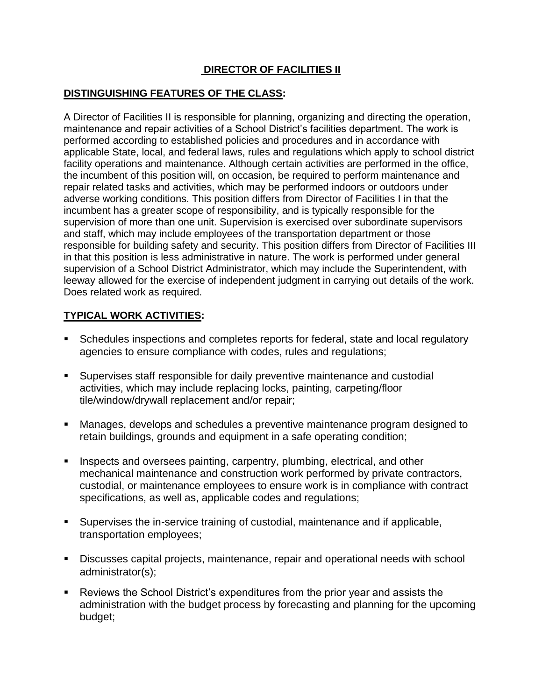## **DIRECTOR OF FACILITIES II**

### **DISTINGUISHING FEATURES OF THE CLASS:**

A Director of Facilities II is responsible for planning, organizing and directing the operation, maintenance and repair activities of a School District's facilities department. The work is performed according to established policies and procedures and in accordance with applicable State, local, and federal laws, rules and regulations which apply to school district facility operations and maintenance. Although certain activities are performed in the office, the incumbent of this position will, on occasion, be required to perform maintenance and repair related tasks and activities, which may be performed indoors or outdoors under adverse working conditions. This position differs from Director of Facilities I in that the incumbent has a greater scope of responsibility, and is typically responsible for the supervision of more than one unit. Supervision is exercised over subordinate supervisors and staff, which may include employees of the transportation department or those responsible for building safety and security. This position differs from Director of Facilities III in that this position is less administrative in nature. The work is performed under general supervision of a School District Administrator, which may include the Superintendent, with leeway allowed for the exercise of independent judgment in carrying out details of the work. Does related work as required.

### **TYPICAL WORK ACTIVITIES:**

- Schedules inspections and completes reports for federal, state and local regulatory agencies to ensure compliance with codes, rules and regulations;
- Supervises staff responsible for daily preventive maintenance and custodial activities, which may include replacing locks, painting, carpeting/floor tile/window/drywall replacement and/or repair;
- Manages, develops and schedules a preventive maintenance program designed to retain buildings, grounds and equipment in a safe operating condition;
- Inspects and oversees painting, carpentry, plumbing, electrical, and other mechanical maintenance and construction work performed by private contractors, custodial, or maintenance employees to ensure work is in compliance with contract specifications, as well as, applicable codes and regulations;
- Supervises the in-service training of custodial, maintenance and if applicable, transportation employees;
- Discusses capital projects, maintenance, repair and operational needs with school administrator(s);
- Reviews the School District's expenditures from the prior year and assists the administration with the budget process by forecasting and planning for the upcoming budget;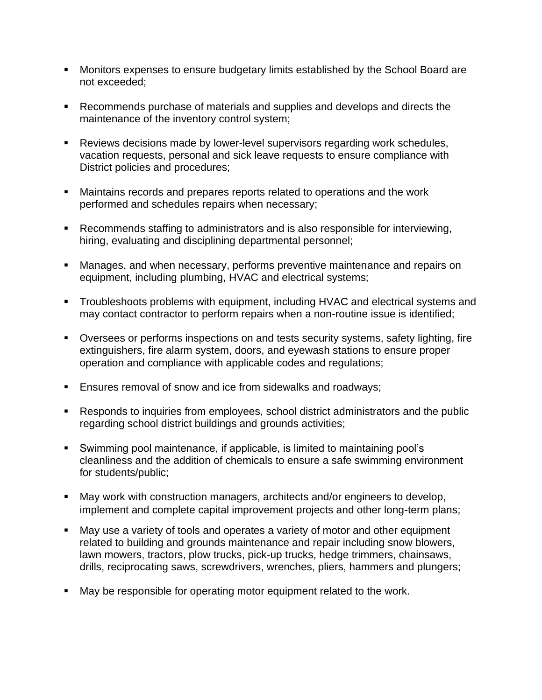- Monitors expenses to ensure budgetary limits established by the School Board are not exceeded;
- Recommends purchase of materials and supplies and develops and directs the maintenance of the inventory control system;
- Reviews decisions made by lower-level supervisors regarding work schedules, vacation requests, personal and sick leave requests to ensure compliance with District policies and procedures;
- Maintains records and prepares reports related to operations and the work performed and schedules repairs when necessary;
- Recommends staffing to administrators and is also responsible for interviewing, hiring, evaluating and disciplining departmental personnel;
- Manages, and when necessary, performs preventive maintenance and repairs on equipment, including plumbing, HVAC and electrical systems;
- **•** Troubleshoots problems with equipment, including HVAC and electrical systems and may contact contractor to perform repairs when a non-routine issue is identified;
- Oversees or performs inspections on and tests security systems, safety lighting, fire extinguishers, fire alarm system, doors, and eyewash stations to ensure proper operation and compliance with applicable codes and regulations;
- Ensures removal of snow and ice from sidewalks and roadways;
- Responds to inquiries from employees, school district administrators and the public regarding school district buildings and grounds activities;
- Swimming pool maintenance, if applicable, is limited to maintaining pool's cleanliness and the addition of chemicals to ensure a safe swimming environment for students/public;
- May work with construction managers, architects and/or engineers to develop, implement and complete capital improvement projects and other long-term plans;
- May use a variety of tools and operates a variety of motor and other equipment related to building and grounds maintenance and repair including snow blowers, lawn mowers, tractors, plow trucks, pick-up trucks, hedge trimmers, chainsaws, drills, reciprocating saws, screwdrivers, wrenches, pliers, hammers and plungers;
- May be responsible for operating motor equipment related to the work.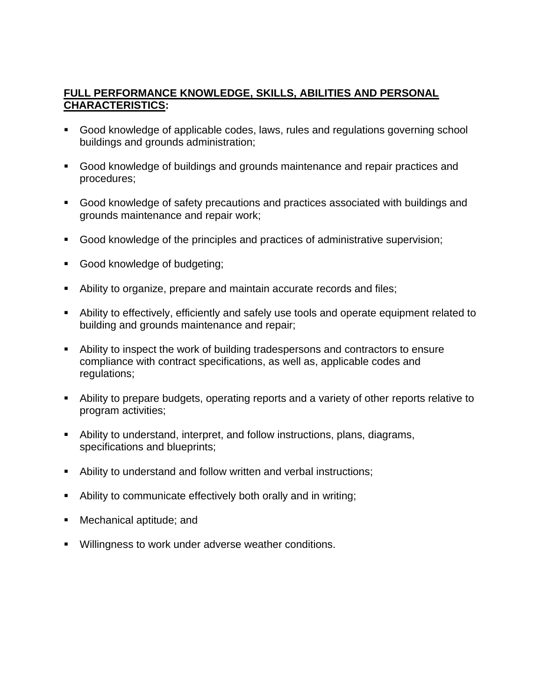# **FULL PERFORMANCE KNOWLEDGE, SKILLS, ABILITIES AND PERSONAL CHARACTERISTICS:**

- Good knowledge of applicable codes, laws, rules and regulations governing school buildings and grounds administration;
- Good knowledge of buildings and grounds maintenance and repair practices and procedures;
- Good knowledge of safety precautions and practices associated with buildings and grounds maintenance and repair work;
- Good knowledge of the principles and practices of administrative supervision;
- Good knowledge of budgeting;
- Ability to organize, prepare and maintain accurate records and files;
- Ability to effectively, efficiently and safely use tools and operate equipment related to building and grounds maintenance and repair;
- Ability to inspect the work of building tradespersons and contractors to ensure compliance with contract specifications, as well as, applicable codes and regulations;
- Ability to prepare budgets, operating reports and a variety of other reports relative to program activities;
- Ability to understand, interpret, and follow instructions, plans, diagrams, specifications and blueprints;
- Ability to understand and follow written and verbal instructions;
- Ability to communicate effectively both orally and in writing;
- Mechanical aptitude; and
- Willingness to work under adverse weather conditions.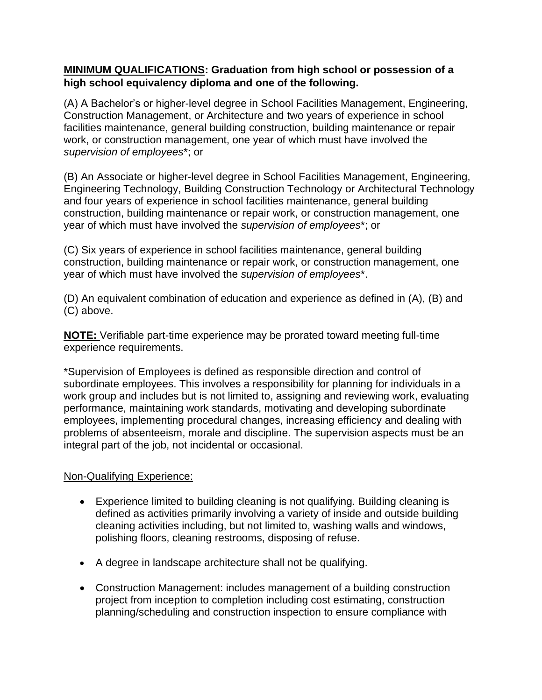# **MINIMUM QUALIFICATIONS: Graduation from high school or possession of a high school equivalency diploma and one of the following.**

(A) A Bachelor's or higher-level degree in School Facilities Management, Engineering, Construction Management, or Architecture and two years of experience in school facilities maintenance, general building construction, building maintenance or repair work, or construction management, one year of which must have involved the *supervision of employees*\*; or

(B) An Associate or higher-level degree in School Facilities Management, Engineering, Engineering Technology, Building Construction Technology or Architectural Technology and four years of experience in school facilities maintenance, general building construction, building maintenance or repair work, or construction management, one year of which must have involved the *supervision of employees*\*; or

(C) Six years of experience in school facilities maintenance, general building construction, building maintenance or repair work, or construction management, one year of which must have involved the *supervision of employees*\*.

(D) An equivalent combination of education and experience as defined in (A), (B) and (C) above.

**NOTE:** Verifiable part-time experience may be prorated toward meeting full-time experience requirements.

\*Supervision of Employees is defined as responsible direction and control of subordinate employees. This involves a responsibility for planning for individuals in a work group and includes but is not limited to, assigning and reviewing work, evaluating performance, maintaining work standards, motivating and developing subordinate employees, implementing procedural changes, increasing efficiency and dealing with problems of absenteeism, morale and discipline. The supervision aspects must be an integral part of the job, not incidental or occasional.

### Non-Qualifying Experience:

- Experience limited to building cleaning is not qualifying. Building cleaning is defined as activities primarily involving a variety of inside and outside building cleaning activities including, but not limited to, washing walls and windows, polishing floors, cleaning restrooms, disposing of refuse.
- A degree in landscape architecture shall not be qualifying.
- Construction Management: includes management of a building construction project from inception to completion including cost estimating, construction planning/scheduling and construction inspection to ensure compliance with